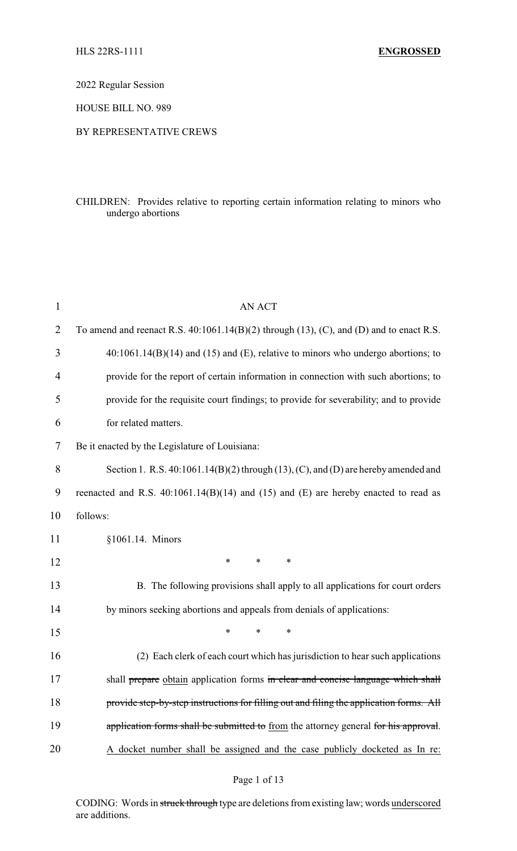2022 Regular Session

HOUSE BILL NO. 989

#### BY REPRESENTATIVE CREWS

# CHILDREN: Provides relative to reporting certain information relating to minors who undergo abortions

| $\mathbf{1}$   | AN ACT                                                                                            |  |
|----------------|---------------------------------------------------------------------------------------------------|--|
| $\overline{2}$ | To amend and reenact R.S. $40:1061.14(B)(2)$ through $(13)$ , $(C)$ , and $(D)$ and to enact R.S. |  |
| 3              | $40:1061.14(B)(14)$ and (15) and (E), relative to minors who undergo abortions; to                |  |
| $\overline{4}$ | provide for the report of certain information in connection with such abortions; to               |  |
| 5              | provide for the requisite court findings; to provide for severability; and to provide             |  |
| 6              | for related matters.                                                                              |  |
| 7              | Be it enacted by the Legislature of Louisiana:                                                    |  |
| 8              | Section 1. R.S. 40:1061.14(B)(2) through (13), (C), and (D) are hereby amended and                |  |
| 9              | reenacted and R.S. $40:1061.14(B)(14)$ and $(15)$ and $(E)$ are hereby enacted to read as         |  |
| 10             | follows:                                                                                          |  |
| 11             | §1061.14. Minors                                                                                  |  |
| 12             | *<br>$\ast$<br>*                                                                                  |  |
| 13             | B. The following provisions shall apply to all applications for court orders                      |  |
| 14             | by minors seeking abortions and appeals from denials of applications:                             |  |
| 15             | *<br>$\ast$<br>*                                                                                  |  |
| 16             | (2) Each clerk of each court which has jurisdiction to hear such applications                     |  |
| 17             | shall prepare obtain application forms in clear and concise language which shall                  |  |
| 18             | provide step-by-step instructions for filling out and filing the application forms. All           |  |
| 19             | application forms shall be submitted to from the attorney general for his approval.               |  |
| 20             | A docket number shall be assigned and the case publicly docketed as In re:                        |  |
|                |                                                                                                   |  |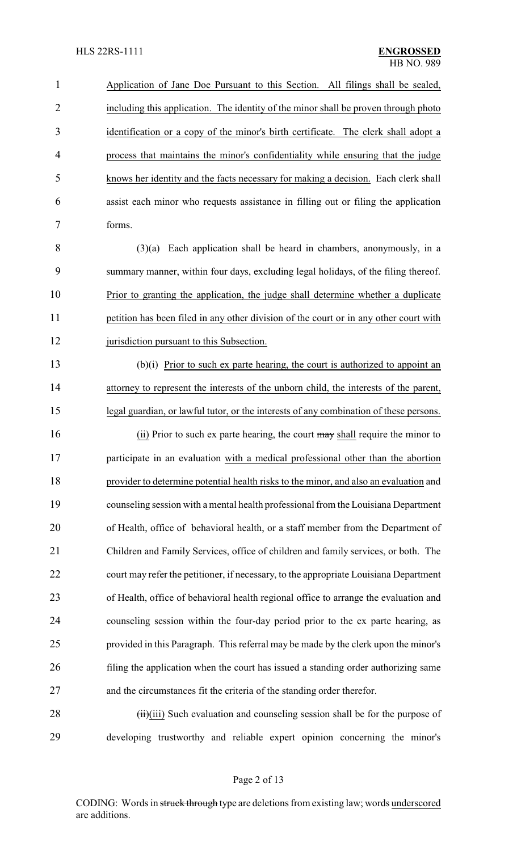Application of Jane Doe Pursuant to this Section. All filings shall be sealed, including this application. The identity of the minor shall be proven through photo identification or a copy of the minor's birth certificate. The clerk shall adopt a process that maintains the minor's confidentiality while ensuring that the judge knows her identity and the facts necessary for making a decision. Each clerk shall assist each minor who requests assistance in filling out or filing the application forms.

 (3)(a) Each application shall be heard in chambers, anonymously, in a summary manner, within four days, excluding legal holidays, of the filing thereof. Prior to granting the application, the judge shall determine whether a duplicate 11 petition has been filed in any other division of the court or in any other court with 12 jurisdiction pursuant to this Subsection.

 (b)(i) Prior to such ex parte hearing, the court is authorized to appoint an attorney to represent the interests of the unborn child, the interests of the parent, legal guardian, or lawful tutor, or the interests of any combination of these persons.

16 (ii) Prior to such ex parte hearing, the court may shall require the minor to participate in an evaluation with a medical professional other than the abortion provider to determine potential health risks to the minor, and also an evaluation and counseling session with a mental health professional from the Louisiana Department of Health, office of behavioral health, or a staff member from the Department of Children and Family Services, office of children and family services, or both. The court may refer the petitioner, if necessary, to the appropriate Louisiana Department of Health, office of behavioral health regional office to arrange the evaluation and counseling session within the four-day period prior to the ex parte hearing, as provided in this Paragraph. This referral may be made by the clerk upon the minor's filing the application when the court has issued a standing order authorizing same and the circumstances fit the criteria of the standing order therefor.

28 (iii)(iii) Such evaluation and counseling session shall be for the purpose of developing trustworthy and reliable expert opinion concerning the minor's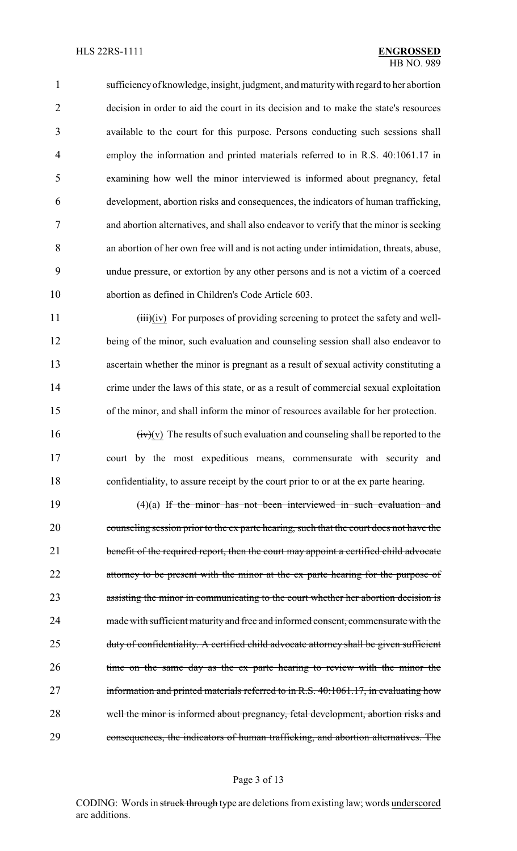sufficiencyof knowledge, insight, judgment, and maturitywith regard to her abortion decision in order to aid the court in its decision and to make the state's resources available to the court for this purpose. Persons conducting such sessions shall employ the information and printed materials referred to in R.S. 40:1061.17 in examining how well the minor interviewed is informed about pregnancy, fetal development, abortion risks and consequences, the indicators of human trafficking, and abortion alternatives, and shall also endeavor to verify that the minor is seeking an abortion of her own free will and is not acting under intimidation, threats, abuse, undue pressure, or extortion by any other persons and is not a victim of a coerced abortion as defined in Children's Code Article 603.

11 (iii)(iv) For purposes of providing screening to protect the safety and well- being of the minor, such evaluation and counseling session shall also endeavor to ascertain whether the minor is pregnant as a result of sexual activity constituting a 14 crime under the laws of this state, or as a result of commercial sexual exploitation of the minor, and shall inform the minor of resources available for her protection.

16  $(iv)(v)$  The results of such evaluation and counseling shall be reported to the court by the most expeditious means, commensurate with security and confidentiality, to assure receipt by the court prior to or at the ex parte hearing.

 (4)(a) If the minor has not been interviewed in such evaluation and counseling session prior to the ex parte hearing, such that the court does not have the 21 benefit of the required report, then the court may appoint a certified child advocate 22 attorney to be present with the minor at the ex parte hearing for the purpose of assisting the minor in communicating to the court whether her abortion decision is made with sufficient maturity and free and informed consent, commensurate with the 25 duty of confidentiality. A certified child advocate attorney shall be given sufficient 26 time on the same day as the ex parte hearing to review with the minor the information and printed materials referred to in R.S. 40:1061.17, in evaluating how well the minor is informed about pregnancy, fetal development, abortion risks and consequences, the indicators of human trafficking, and abortion alternatives. The

#### Page 3 of 13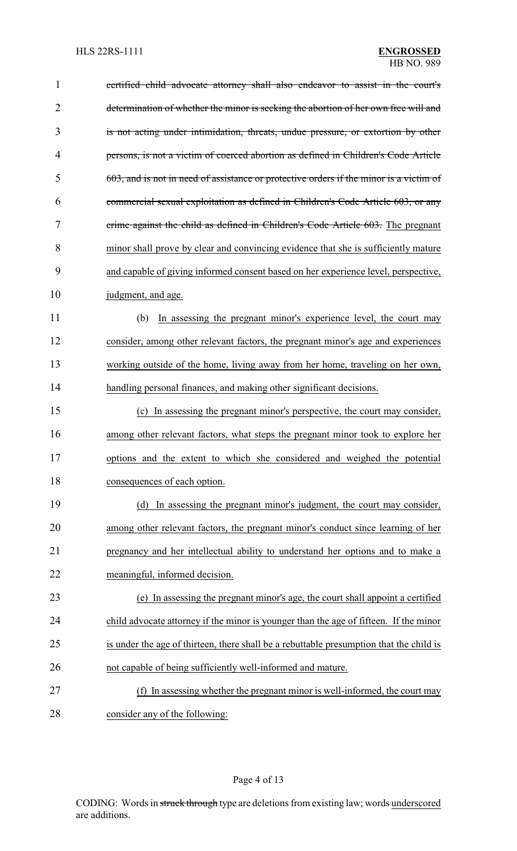| $\mathbf{1}$   | certified child advocate attorney shall also endeavor to assist in the court's          |
|----------------|-----------------------------------------------------------------------------------------|
| $\overline{2}$ | determination of whether the minor is seeking the abortion of her own free will and     |
| 3              | is not acting under intimidation, threats, undue pressure, or extortion by other        |
| 4              | persons, is not a victim of coerced abortion as defined in Children's Code Article      |
| 5              | 603, and is not in need of assistance or protective orders if the minor is a victim of  |
| 6              | commercial sexual exploitation as defined in Children's Code Article 603, or any        |
| 7              | crime against the child as defined in Children's Code Article 603. The pregnant         |
| 8              | minor shall prove by clear and convincing evidence that she is sufficiently mature      |
| 9              | and capable of giving informed consent based on her experience level, perspective,      |
| 10             | judgment, and age.                                                                      |
| 11             | In assessing the pregnant minor's experience level, the court may<br>(b)                |
| 12             | consider, among other relevant factors, the pregnant minor's age and experiences        |
| 13             | working outside of the home, living away from her home, traveling on her own,           |
| 14             | handling personal finances, and making other significant decisions.                     |
| 15             | In assessing the pregnant minor's perspective, the court may consider,<br>(c)           |
| 16             | among other relevant factors, what steps the pregnant minor took to explore her         |
| 17             | options and the extent to which she considered and weighed the potential                |
| 18             | consequences of each option.                                                            |
| 19             | (d) In assessing the pregnant minor's judgment, the court may consider,                 |
| 20             | among other relevant factors, the pregnant minor's conduct since learning of her        |
| 21             | pregnancy and her intellectual ability to understand her options and to make a          |
| 22             | meaningful, informed decision.                                                          |
| 23             | (e) In assessing the pregnant minor's age, the court shall appoint a certified          |
| 24             | child advocate attorney if the minor is younger than the age of fifteen. If the minor   |
| 25             | is under the age of thirteen, there shall be a rebuttable presumption that the child is |
| 26             | not capable of being sufficiently well-informed and mature.                             |
| 27             | In assessing whether the pregnant minor is well-informed, the court may                 |
| 28             | consider any of the following:                                                          |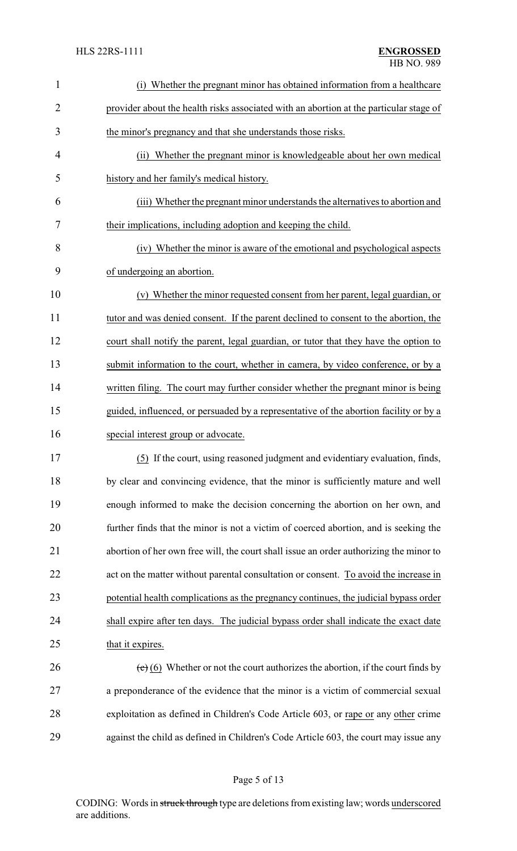| $\mathbf{1}$   | (i) Whether the pregnant minor has obtained information from a healthcare                              |  |  |
|----------------|--------------------------------------------------------------------------------------------------------|--|--|
| $\overline{2}$ | provider about the health risks associated with an abortion at the particular stage of                 |  |  |
| 3              | the minor's pregnancy and that she understands those risks.                                            |  |  |
| $\overline{4}$ | Whether the pregnant minor is knowledgeable about her own medical<br>(ii)                              |  |  |
| 5              | history and her family's medical history.                                                              |  |  |
| 6              | (iii) Whether the pregnant minor understands the alternatives to abortion and                          |  |  |
| 7              | their implications, including adoption and keeping the child.                                          |  |  |
| 8              | (iv) Whether the minor is aware of the emotional and psychological aspects                             |  |  |
| 9              | of undergoing an abortion.                                                                             |  |  |
| 10             | (v) Whether the minor requested consent from her parent, legal guardian, or                            |  |  |
| 11             | tutor and was denied consent. If the parent declined to consent to the abortion, the                   |  |  |
| 12             | court shall notify the parent, legal guardian, or tutor that they have the option to                   |  |  |
| 13             | submit information to the court, whether in camera, by video conference, or by a                       |  |  |
| 14             | written filing. The court may further consider whether the pregnant minor is being                     |  |  |
| 15             | guided, influenced, or persuaded by a representative of the abortion facility or by a                  |  |  |
| 16             | special interest group or advocate.                                                                    |  |  |
| 17             | (5) If the court, using reasoned judgment and evidentiary evaluation, finds,                           |  |  |
| 18             | by clear and convincing evidence, that the minor is sufficiently mature and well                       |  |  |
| 19             | enough informed to make the decision concerning the abortion on her own, and                           |  |  |
| 20             | further finds that the minor is not a victim of coerced abortion, and is seeking the                   |  |  |
| 21             | abortion of her own free will, the court shall issue an order authorizing the minor to                 |  |  |
| 22             | act on the matter without parental consultation or consent. To avoid the increase in                   |  |  |
| 23             | potential health complications as the pregnancy continues, the judicial bypass order                   |  |  |
| 24             | shall expire after ten days. The judicial bypass order shall indicate the exact date                   |  |  |
| 25             | that it expires.                                                                                       |  |  |
| 26             | $\left(\frac{e}{c}\right)$ (6) Whether or not the court authorizes the abortion, if the court finds by |  |  |
| 27             | a preponderance of the evidence that the minor is a victim of commercial sexual                        |  |  |
| 28             | exploitation as defined in Children's Code Article 603, or rape or any other crime                     |  |  |
| 29             | against the child as defined in Children's Code Article 603, the court may issue any                   |  |  |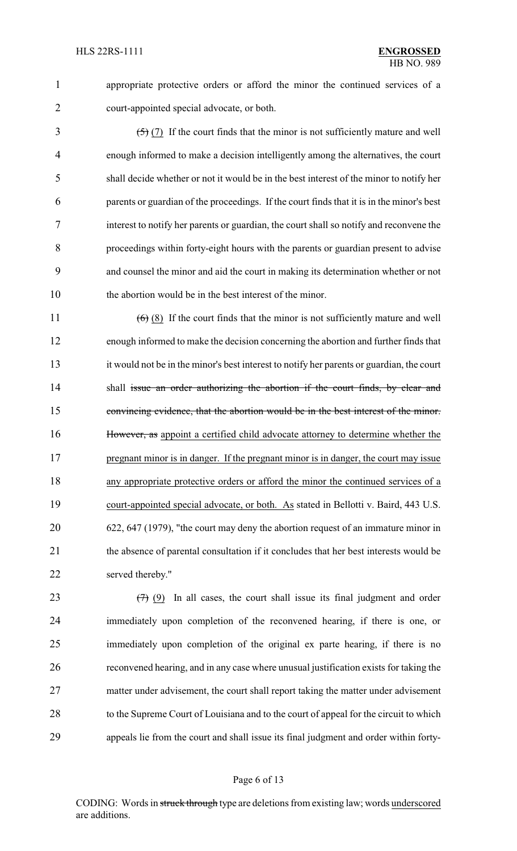appropriate protective orders or afford the minor the continued services of a court-appointed special advocate, or both.

 $\frac{5}{7}$  (7) If the court finds that the minor is not sufficiently mature and well enough informed to make a decision intelligently among the alternatives, the court shall decide whether or not it would be in the best interest of the minor to notify her parents or guardian of the proceedings. If the court finds that it is in the minor's best interest to notify her parents or guardian, the court shall so notify and reconvene the proceedings within forty-eight hours with the parents or guardian present to advise and counsel the minor and aid the court in making its determination whether or not the abortion would be in the best interest of the minor.

 $(6)$  (8) If the court finds that the minor is not sufficiently mature and well enough informed to make the decision concerning the abortion and further finds that it would not be in the minor's best interest to notify her parents or guardian, the court 14 shall issue an order authorizing the abortion if the court finds, by clear and convincing evidence, that the abortion would be in the best interest of the minor. However, as appoint a certified child advocate attorney to determine whether the 17 pregnant minor is in danger. If the pregnant minor is in danger, the court may issue any appropriate protective orders or afford the minor the continued services of a court-appointed special advocate, or both. As stated in Bellotti v. Baird, 443 U.S. 622, 647 (1979), "the court may deny the abortion request of an immature minor in 21 the absence of parental consultation if it concludes that her best interests would be served thereby."

 $(7)$  (9) In all cases, the court shall issue its final judgment and order immediately upon completion of the reconvened hearing, if there is one, or immediately upon completion of the original ex parte hearing, if there is no reconvened hearing, and in any case where unusual justification exists for taking the matter under advisement, the court shall report taking the matter under advisement to the Supreme Court of Louisiana and to the court of appeal for the circuit to which appeals lie from the court and shall issue its final judgment and order within forty-

## Page 6 of 13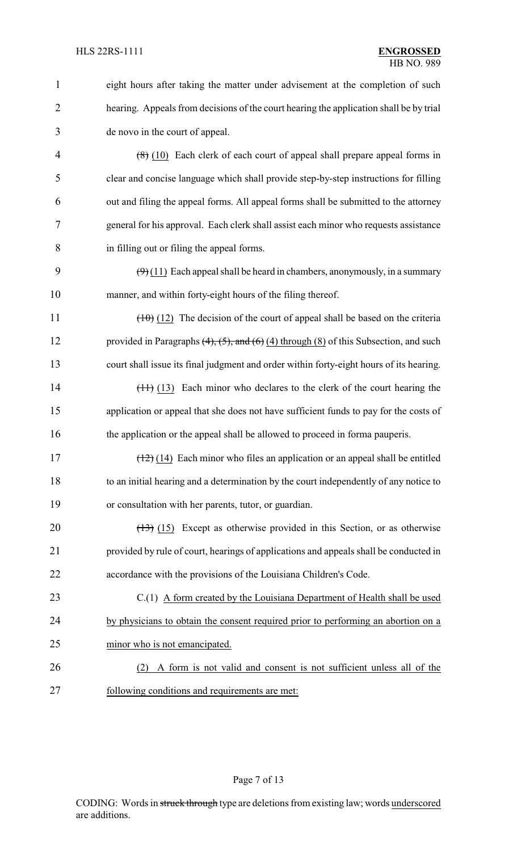| $\mathbf{1}$   | eight hours after taking the matter under advisement at the completion of such                    |  |
|----------------|---------------------------------------------------------------------------------------------------|--|
| $\overline{2}$ | hearing. Appeals from decisions of the court hearing the application shall be by trial            |  |
| 3              | de novo in the court of appeal.                                                                   |  |
| $\overline{4}$ | $(8)$ (10) Each clerk of each court of appeal shall prepare appeal forms in                       |  |
| 5              | clear and concise language which shall provide step-by-step instructions for filling              |  |
| 6              | out and filing the appeal forms. All appeal forms shall be submitted to the attorney              |  |
| 7              | general for his approval. Each clerk shall assist each minor who requests assistance              |  |
| 8              | in filling out or filing the appeal forms.                                                        |  |
| 9              | $(9)(11)$ Each appeal shall be heard in chambers, anonymously, in a summary                       |  |
| 10             | manner, and within forty-eight hours of the filing thereof.                                       |  |
| 11             | $(10)(12)$ The decision of the court of appeal shall be based on the criteria                     |  |
| 12             | provided in Paragraphs $(4)$ , $(5)$ , and $(6)$ $(4)$ through $(8)$ of this Subsection, and such |  |
| 13             | court shall issue its final judgment and order within forty-eight hours of its hearing.           |  |
| 14             | $(11)$ (13) Each minor who declares to the clerk of the court hearing the                         |  |
| 15             | application or appeal that she does not have sufficient funds to pay for the costs of             |  |
| 16             | the application or the appeal shall be allowed to proceed in forma pauperis.                      |  |
| 17             | $(12)$ (14) Each minor who files an application or an appeal shall be entitled                    |  |
| 18             | to an initial hearing and a determination by the court independently of any notice to             |  |
| 19             | or consultation with her parents, tutor, or guardian.                                             |  |
| 20             | $(13)$ (15) Except as otherwise provided in this Section, or as otherwise                         |  |
| 21             | provided by rule of court, hearings of applications and appeals shall be conducted in             |  |
| 22             | accordance with the provisions of the Louisiana Children's Code.                                  |  |
| 23             | $C(1)$ A form created by the Louisiana Department of Health shall be used                         |  |
| 24             | by physicians to obtain the consent required prior to performing an abortion on a                 |  |
| 25             | minor who is not emancipated.                                                                     |  |
| 26             | A form is not valid and consent is not sufficient unless all of the<br>(2)                        |  |
| 27             | following conditions and requirements are met:                                                    |  |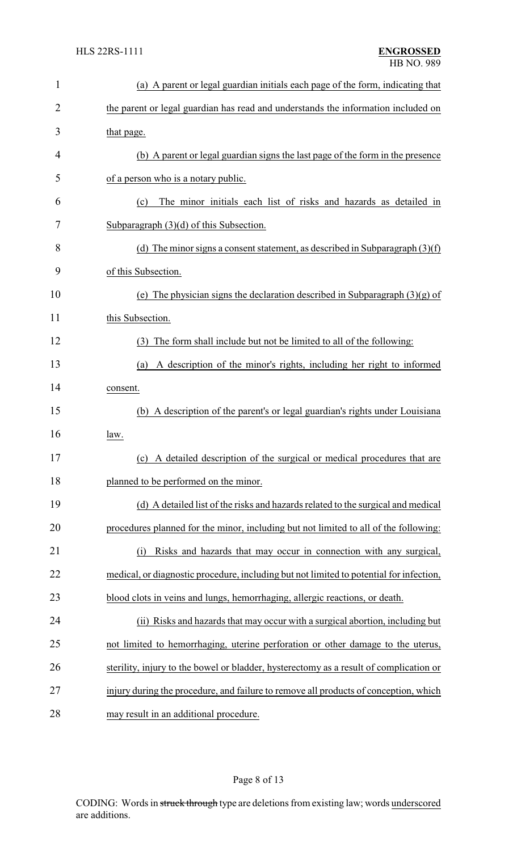| 1  | (a) A parent or legal guardian initials each page of the form, indicating that          |  |  |
|----|-----------------------------------------------------------------------------------------|--|--|
| 2  | the parent or legal guardian has read and understands the information included on       |  |  |
| 3  | that page.                                                                              |  |  |
| 4  | (b) A parent or legal guardian signs the last page of the form in the presence          |  |  |
| 5  | of a person who is a notary public.                                                     |  |  |
| 6  | The minor initials each list of risks and hazards as detailed in<br>(c)                 |  |  |
| 7  | Subparagraph $(3)(d)$ of this Subsection.                                               |  |  |
| 8  | (d) The minor signs a consent statement, as described in Subparagraph $(3)(f)$          |  |  |
| 9  | of this Subsection.                                                                     |  |  |
| 10 | (e) The physician signs the declaration described in Subparagraph $(3)(g)$ of           |  |  |
| 11 | this Subsection.                                                                        |  |  |
| 12 | The form shall include but not be limited to all of the following:<br>(3)               |  |  |
| 13 | A description of the minor's rights, including her right to informed<br>(a)             |  |  |
| 14 | consent.                                                                                |  |  |
| 15 | (b) A description of the parent's or legal guardian's rights under Louisiana            |  |  |
| 16 | law.                                                                                    |  |  |
| 17 | (c) A detailed description of the surgical or medical procedures that are               |  |  |
| 18 | planned to be performed on the minor.                                                   |  |  |
| 19 | (d) A detailed list of the risks and hazards related to the surgical and medical        |  |  |
| 20 | procedures planned for the minor, including but not limited to all of the following:    |  |  |
| 21 | Risks and hazards that may occur in connection with any surgical,<br>(i)                |  |  |
| 22 | medical, or diagnostic procedure, including but not limited to potential for infection, |  |  |
| 23 | blood clots in veins and lungs, hemorrhaging, allergic reactions, or death.             |  |  |
| 24 | (ii) Risks and hazards that may occur with a surgical abortion, including but           |  |  |
| 25 | not limited to hemorrhaging, uterine perforation or other damage to the uterus,         |  |  |
| 26 | sterility, injury to the bowel or bladder, hysterectomy as a result of complication or  |  |  |
| 27 | injury during the procedure, and failure to remove all products of conception, which    |  |  |
| 28 | may result in an additional procedure.                                                  |  |  |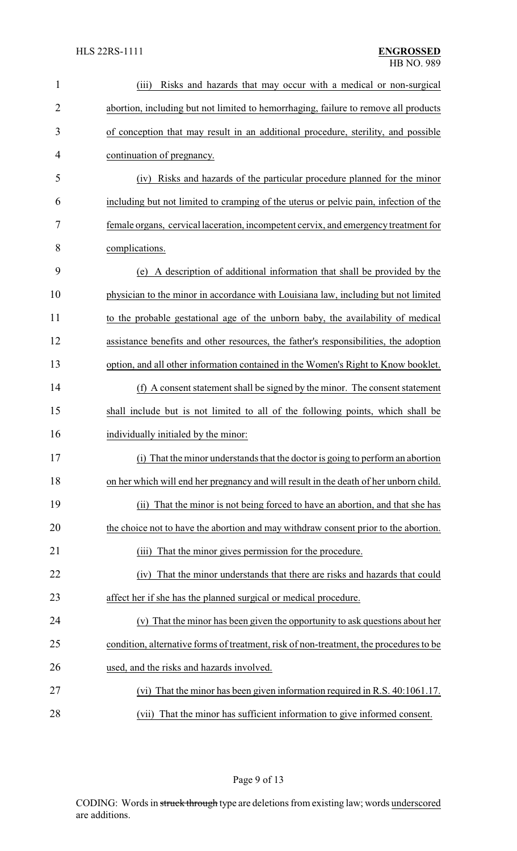| $\mathbf{1}$   | Risks and hazards that may occur with a medical or non-surgical<br>(iii)               |
|----------------|----------------------------------------------------------------------------------------|
| $\overline{2}$ | abortion, including but not limited to hemorrhaging, failure to remove all products    |
| 3              | of conception that may result in an additional procedure, sterility, and possible      |
| 4              | continuation of pregnancy.                                                             |
| 5              | Risks and hazards of the particular procedure planned for the minor<br>(iv)            |
| 6              | including but not limited to cramping of the uterus or pelvic pain, infection of the   |
| 7              | female organs, cervical laceration, incompetent cervix, and emergency treatment for    |
| 8              | complications.                                                                         |
| 9              | (e) A description of additional information that shall be provided by the              |
| 10             | physician to the minor in accordance with Louisiana law, including but not limited     |
| 11             | to the probable gestational age of the unborn baby, the availability of medical        |
| 12             | assistance benefits and other resources, the father's responsibilities, the adoption   |
| 13             | option, and all other information contained in the Women's Right to Know booklet.      |
| 14             | (f) A consent statement shall be signed by the minor. The consent statement            |
| 15             | shall include but is not limited to all of the following points, which shall be        |
| 16             | individually initialed by the minor:                                                   |
| 17             | That the minor understands that the doctor is going to perform an abortion             |
| 18             | on her which will end her pregnancy and will result in the death of her unborn child.  |
| 19             | (ii) That the minor is not being forced to have an abortion, and that she has          |
| 20             | the choice not to have the abortion and may withdraw consent prior to the abortion.    |
| 21             | That the minor gives permission for the procedure.<br>(iii)                            |
| 22             | (iv) That the minor understands that there are risks and hazards that could            |
| 23             | affect her if she has the planned surgical or medical procedure.                       |
| 24             | (v) That the minor has been given the opportunity to ask questions about her           |
| 25             | condition, alternative forms of treatment, risk of non-treatment, the procedures to be |
| 26             | used, and the risks and hazards involved.                                              |
| 27             | (vi) That the minor has been given information required in R.S. 40:1061.17.            |
| $\bigcap$      |                                                                                        |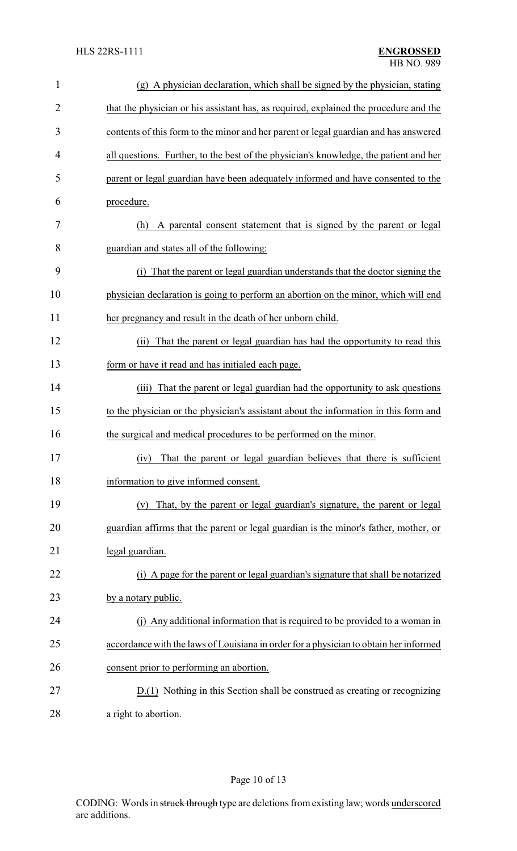| $\mathbf{1}$   | (g) A physician declaration, which shall be signed by the physician, stating          |
|----------------|---------------------------------------------------------------------------------------|
| $\overline{2}$ | that the physician or his assistant has, as required, explained the procedure and the |
| 3              | contents of this form to the minor and her parent or legal guardian and has answered  |
| 4              | all questions. Further, to the best of the physician's knowledge, the patient and her |
| 5              | parent or legal guardian have been adequately informed and have consented to the      |
| 6              | procedure.                                                                            |
| 7              | A parental consent statement that is signed by the parent or legal<br>(h)             |
| 8              | guardian and states all of the following:                                             |
| 9              | (i) That the parent or legal guardian understands that the doctor signing the         |
| 10             | physician declaration is going to perform an abortion on the minor, which will end    |
| 11             | her pregnancy and result in the death of her unborn child.                            |
| 12             | (ii) That the parent or legal guardian has had the opportunity to read this           |
| 13             | form or have it read and has initialed each page.                                     |
| 14             | (iii) That the parent or legal guardian had the opportunity to ask questions          |
| 15             | to the physician or the physician's assistant about the information in this form and  |
| 16             | the surgical and medical procedures to be performed on the minor.                     |
| 17             | (iv) That the parent or legal guardian believes that there is sufficient              |
| 18             | information to give informed consent.                                                 |
| 19             | That, by the parent or legal guardian's signature, the parent or legal<br>(v)         |
| 20             | guardian affirms that the parent or legal guardian is the minor's father, mother, or  |
| 21             | legal guardian.                                                                       |
| 22             | (i) A page for the parent or legal guardian's signature that shall be notarized       |
| 23             | by a notary public.                                                                   |
| 24             | (j) Any additional information that is required to be provided to a woman in          |
| 25             | accordance with the laws of Louisiana in order for a physician to obtain her informed |
| 26             | consent prior to performing an abortion.                                              |
| 27             | D.(1) Nothing in this Section shall be construed as creating or recognizing           |
| 28             | a right to abortion.                                                                  |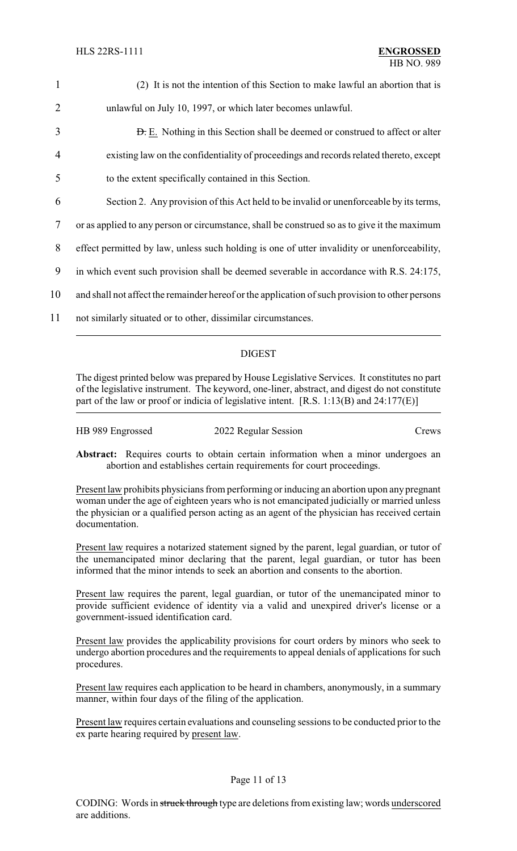| $\mathbf{1}$   | (2) It is not the intention of this Section to make lawful an abortion that is                  |  |
|----------------|-------------------------------------------------------------------------------------------------|--|
| 2              | unlawful on July 10, 1997, or which later becomes unlawful.                                     |  |
| 3              | <b>D.</b> E. Nothing in this Section shall be deemed or construed to affect or alter            |  |
| $\overline{4}$ | existing law on the confidentiality of proceedings and records related thereto, except          |  |
| 5              | to the extent specifically contained in this Section.                                           |  |
| 6              | Section 2. Any provision of this Act held to be invalid or unenforceable by its terms,          |  |
| 7              | or as applied to any person or circumstance, shall be construed so as to give it the maximum    |  |
| 8              | effect permitted by law, unless such holding is one of utter invalidity or unenforceability,    |  |
| 9              | in which event such provision shall be deemed severable in accordance with R.S. 24:175,         |  |
| 10             | and shall not affect the remainder hereof or the application of such provision to other persons |  |
| 11             | not similarly situated or to other, dissimilar circumstances.                                   |  |
|                |                                                                                                 |  |

## DIGEST

The digest printed below was prepared by House Legislative Services. It constitutes no part of the legislative instrument. The keyword, one-liner, abstract, and digest do not constitute part of the law or proof or indicia of legislative intent. [R.S. 1:13(B) and 24:177(E)]

| HB 989 Engrossed | 2022 Regular Session | Crews |
|------------------|----------------------|-------|
|                  |                      |       |

Abstract: Requires courts to obtain certain information when a minor undergoes an abortion and establishes certain requirements for court proceedings.

Present law prohibits physicians from performing or inducing an abortion upon any pregnant woman under the age of eighteen years who is not emancipated judicially or married unless the physician or a qualified person acting as an agent of the physician has received certain documentation.

Present law requires a notarized statement signed by the parent, legal guardian, or tutor of the unemancipated minor declaring that the parent, legal guardian, or tutor has been informed that the minor intends to seek an abortion and consents to the abortion.

Present law requires the parent, legal guardian, or tutor of the unemancipated minor to provide sufficient evidence of identity via a valid and unexpired driver's license or a government-issued identification card.

Present law provides the applicability provisions for court orders by minors who seek to undergo abortion procedures and the requirements to appeal denials of applications for such procedures.

Present law requires each application to be heard in chambers, anonymously, in a summary manner, within four days of the filing of the application.

Present law requires certain evaluations and counseling sessions to be conducted prior to the ex parte hearing required by present law.

## Page 11 of 13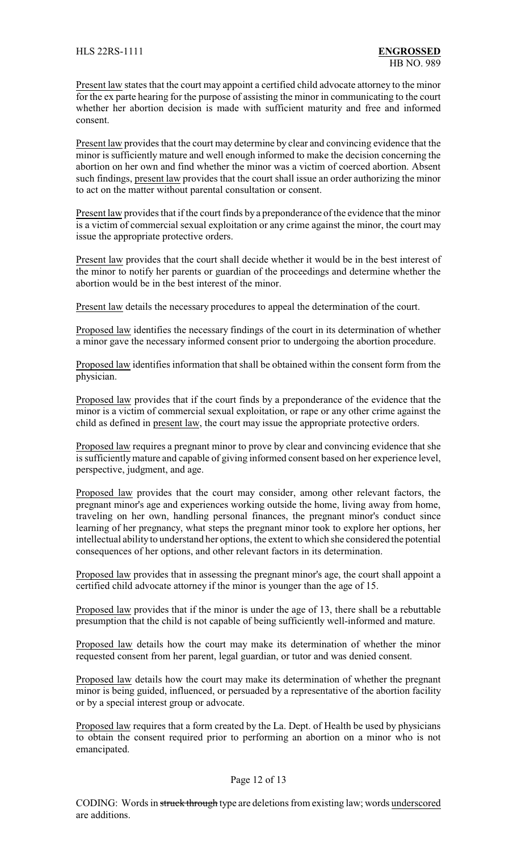Present law states that the court may appoint a certified child advocate attorney to the minor for the ex parte hearing for the purpose of assisting the minor in communicating to the court whether her abortion decision is made with sufficient maturity and free and informed consent.

Present law provides that the court may determine by clear and convincing evidence that the minor is sufficiently mature and well enough informed to make the decision concerning the abortion on her own and find whether the minor was a victim of coerced abortion. Absent such findings, present law provides that the court shall issue an order authorizing the minor to act on the matter without parental consultation or consent.

Present law provides that if the court finds by a preponderance of the evidence that the minor is a victim of commercial sexual exploitation or any crime against the minor, the court may issue the appropriate protective orders.

Present law provides that the court shall decide whether it would be in the best interest of the minor to notify her parents or guardian of the proceedings and determine whether the abortion would be in the best interest of the minor.

Present law details the necessary procedures to appeal the determination of the court.

Proposed law identifies the necessary findings of the court in its determination of whether a minor gave the necessary informed consent prior to undergoing the abortion procedure.

Proposed law identifies information that shall be obtained within the consent form from the physician.

Proposed law provides that if the court finds by a preponderance of the evidence that the minor is a victim of commercial sexual exploitation, or rape or any other crime against the child as defined in present law, the court may issue the appropriate protective orders.

Proposed law requires a pregnant minor to prove by clear and convincing evidence that she is sufficientlymature and capable of giving informed consent based on her experience level, perspective, judgment, and age.

Proposed law provides that the court may consider, among other relevant factors, the pregnant minor's age and experiences working outside the home, living away from home, traveling on her own, handling personal finances, the pregnant minor's conduct since learning of her pregnancy, what steps the pregnant minor took to explore her options, her intellectual ability to understand her options, the extent to which she considered the potential consequences of her options, and other relevant factors in its determination.

Proposed law provides that in assessing the pregnant minor's age, the court shall appoint a certified child advocate attorney if the minor is younger than the age of 15.

Proposed law provides that if the minor is under the age of 13, there shall be a rebuttable presumption that the child is not capable of being sufficiently well-informed and mature.

Proposed law details how the court may make its determination of whether the minor requested consent from her parent, legal guardian, or tutor and was denied consent.

Proposed law details how the court may make its determination of whether the pregnant minor is being guided, influenced, or persuaded by a representative of the abortion facility or by a special interest group or advocate.

Proposed law requires that a form created by the La. Dept. of Health be used by physicians to obtain the consent required prior to performing an abortion on a minor who is not emancipated.

#### Page 12 of 13